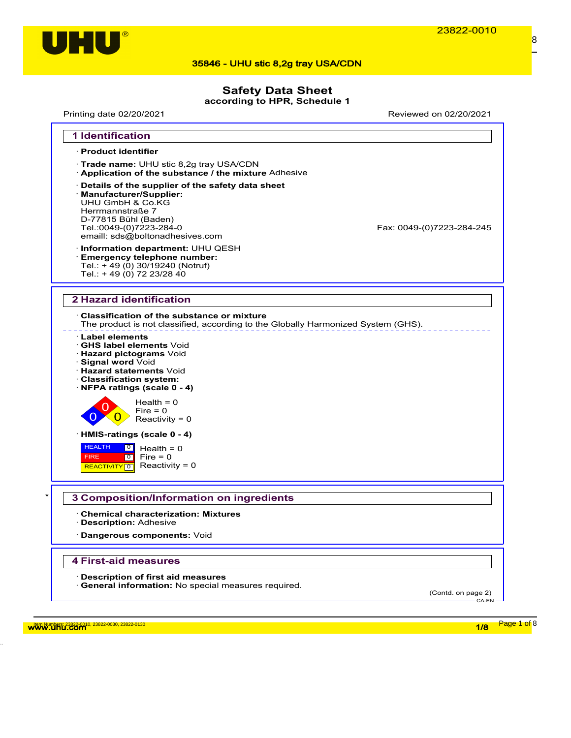

### **Safety Data Sheet**

**according to HPR, Schedule 1**

Printing date 02/20/2021 Reviewed on 02/20/2021



w<mark>ww.uhu.com 1/8 Page 1 of</mark> 8 مستقبل المستقبل المستقبل المستقبل المستقبل المستقبل المستقبل المستقبل المستقبل المستقبل المستقبل المستقبل المستقبل المستقبل المستقبل المستقبل المستقبل المستقبل المستقبل المستقبل المستقبل المست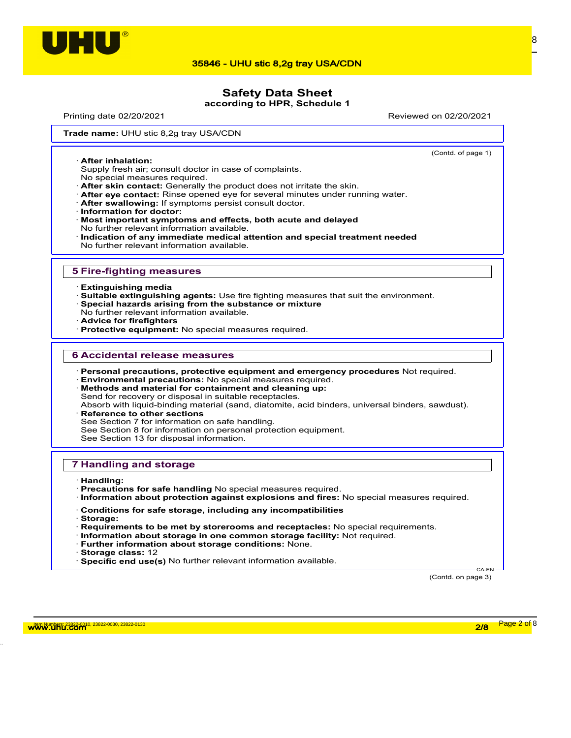

## **Safety Data Sheet**

**according to HPR, Schedule 1**

Printing date 02/20/2021 Reviewed on 02/20/2021

(Contd. of page 1)

Trade name: UHU stic 8,2g tray USA/CDN

· **After inhalation:**

Supply fresh air; consult doctor in case of complaints.

- No special measures required.
- · **After skin contact:** Generally the product does not irritate the skin.
- · **After eye contact:** Rinse opened eye for several minutes under running water.
- · **After swallowing:** If symptoms persist consult doctor.
- · **Information for doctor:**
- · **Most important symptoms and effects, both acute and delayed** No further relevant information available.
- · **Indication of any immediate medical attention and special treatment needed** No further relevant information available.

#### **5 Fire-fighting measures**

- · **Extinguishing media**
- · **Suitable extinguishing agents:** Use fire fighting measures that suit the environment.
- · **Special hazards arising from the substance or mixture**
- No further relevant information available.
- · **Advice for firefighters**
- · **Protective equipment:** No special measures required.

#### **6 Accidental release measures**

- · **Personal precautions, protective equipment and emergency procedures** Not required.
- · **Environmental precautions:** No special measures required.
- · **Methods and material for containment and cleaning up:** Send for recovery or disposal in suitable receptacles. Absorb with liquid-binding material (sand, diatomite, acid binders, universal binders, sawdust).
- **Reference to other sections** See Section 7 for information on safe handling. See Section 8 for information on personal protection equipment. See Section 13 for disposal information.

#### **7 Handling and storage**

- · **Handling:**
- · **Precautions for safe handling** No special measures required.
- · **Information about protection against explosions and fires:** No special measures required.
- · **Conditions for safe storage, including any incompatibilities**
- · **Storage:**
- · **Requirements to be met by storerooms and receptacles:** No special requirements.
- · **Information about storage in one common storage facility:** Not required.
- · **Further information about storage conditions:** None.
- · **Storage class:** 12
- · **Specific end use(s)** No further relevant information available.

(Contd. on page 3)

CA-EN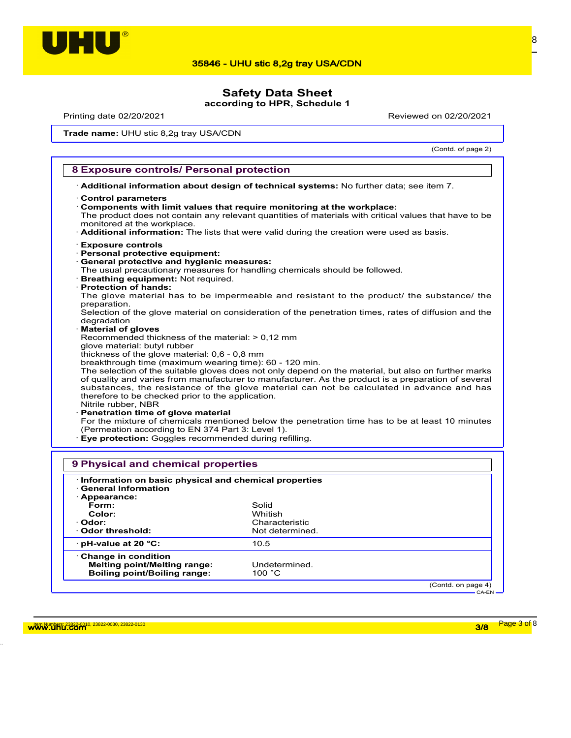

# **Safety Data Sheet**

**according to HPR, Schedule 1**

Printing date 02/20/2021 Reviewed on 02/20/2021

Trade name: UHU stic 8,2g tray USA/CDN

(Contd. of page 2)

#### **8 Exposure controls/ Personal protection**

· **Additional information about design of technical systems:** No further data; see item 7.

- · **Control parameters**
- · **Components with limit values that require monitoring at the workplace:**

The product does not contain any relevant quantities of materials with critical values that have to be monitored at the workplace.

· **Additional information:** The lists that were valid during the creation were used as basis.

- · **Exposure controls**
- · **Personal protective equipment:**
- · **General protective and hygienic measures:**
- The usual precautionary measures for handling chemicals should be followed.
- · **Breathing equipment:** Not required.
- · **Protection of hands:**

The glove material has to be impermeable and resistant to the product/ the substance/ the preparation.

Selection of the glove material on consideration of the penetration times, rates of diffusion and the degradation

· **Material of gloves**

Recommended thickness of the material: > 0,12 mm

- glove material: butyl rubber
- thickness of the glove material: 0,6 0,8 mm

breakthrough time (maximum wearing time): 60 - 120 min.

The selection of the suitable gloves does not only depend on the material, but also on further marks of quality and varies from manufacturer to manufacturer. As the product is a preparation of several substances, the resistance of the glove material can not be calculated in advance and has therefore to be checked prior to the application.

Nitrile rubber, NBR

· **Penetration time of glove material**

For the mixture of chemicals mentioned below the penetration time has to be at least 10 minutes (Permeation according to EN 374 Part 3: Level 1).

· **Eye protection:** Goggles recommended during refilling.

| · Information on basic physical and chemical properties<br><b>General Information</b> |                 |                    |
|---------------------------------------------------------------------------------------|-----------------|--------------------|
| $\cdot$ Appearance:<br>Form:                                                          | Solid           |                    |
| Color:                                                                                | Whitish         |                    |
| · Odor:                                                                               | Characteristic  |                    |
| ⋅ Odor threshold:                                                                     | Not determined. |                    |
| · pH-value at 20 °C:                                                                  | 10.5            |                    |
| $\cdot$ Change in condition                                                           |                 |                    |
| <b>Melting point/Melting range:</b>                                                   | Undetermined.   |                    |
| <b>Boiling point/Boiling range:</b>                                                   | 100 $\degree$ C |                    |
|                                                                                       |                 | (Contd. on page 4) |
|                                                                                       |                 | $CA-EN$ –          |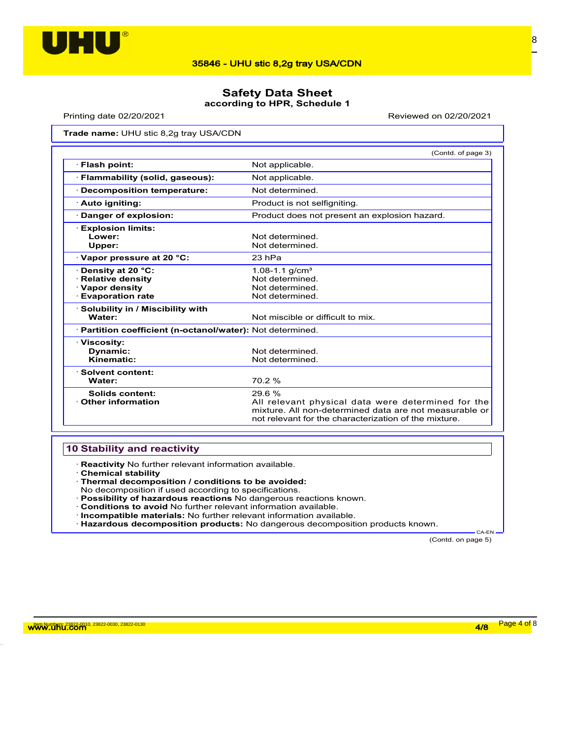

### **Safety Data Sheet according to HPR, Schedule 1**

Printing date 02/20/2021 Reviewed on 02/20/2021

Trade name: UHU stic 8,2g tray USA/CDN

|                                                                                                    | (Contd. of page 3)                                                                                                                                                             |
|----------------------------------------------------------------------------------------------------|--------------------------------------------------------------------------------------------------------------------------------------------------------------------------------|
| · Flash point:                                                                                     | Not applicable.                                                                                                                                                                |
| · Flammability (solid, gaseous):                                                                   | Not applicable.                                                                                                                                                                |
| · Decomposition temperature:                                                                       | Not determined.                                                                                                                                                                |
| · Auto igniting:                                                                                   | Product is not selfigniting.                                                                                                                                                   |
| Danger of explosion:                                                                               | Product does not present an explosion hazard.                                                                                                                                  |
| <b>Explosion limits:</b><br>Lower:<br>Upper:                                                       | Not determined.<br>Not determined.                                                                                                                                             |
| $\cdot$ Vapor pressure at 20 °C:                                                                   | 23 hPa                                                                                                                                                                         |
| · Density at 20 °C:<br><b>Relative density</b><br>$\cdot$ Vapor density<br><b>Evaporation rate</b> | $1.08 - 1.1$ g/cm <sup>3</sup><br>Not determined.<br>Not determined.<br>Not determined.                                                                                        |
| $\cdot$ Solubility in / Miscibility with<br>Water:                                                 | Not miscible or difficult to mix.                                                                                                                                              |
| · Partition coefficient (n-octanol/water): Not determined.                                         |                                                                                                                                                                                |
| · Viscosity:<br><b>Dynamic:</b><br>Kinematic:                                                      | Not determined<br>Not determined.                                                                                                                                              |
| · Solvent content:<br>Water:                                                                       | 70.2%                                                                                                                                                                          |
| Solids content:<br>$\cdot$ Other information                                                       | 29.6%<br>All relevant physical data were determined for the<br>mixture. All non-determined data are not measurable or<br>not relevant for the characterization of the mixture. |

### **10 Stability and reactivity**

· **Reactivity** No further relevant information available.

- · **Chemical stability**
- · **Thermal decomposition / conditions to be avoided:**
- No decomposition if used according to specifications.
- · **Possibility of hazardous reactions** No dangerous reactions known.
- · **Conditions to avoid** No further relevant information available.
- · **Incompatible materials:** No further relevant information available.
- · **Hazardous decomposition products:** No dangerous decomposition products known.

(Contd. on page 5)

CA-EN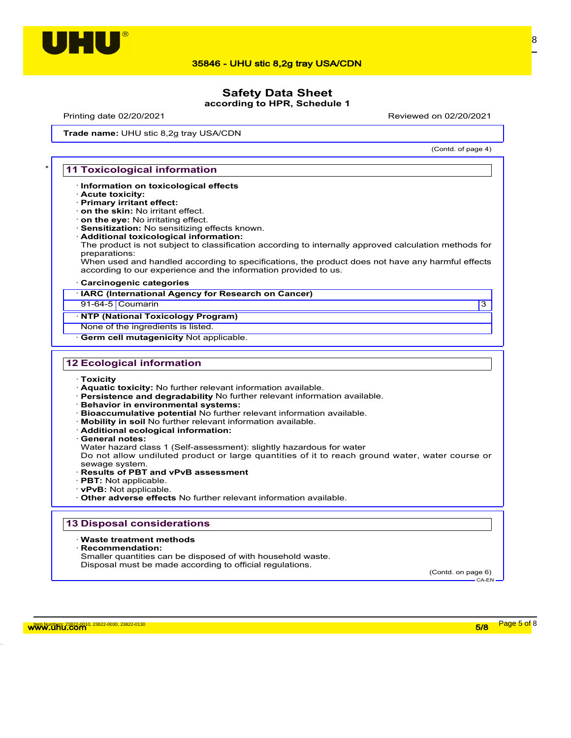

# **Safety Data Sheet**

**according to HPR, Schedule 1**

Printing date 02/20/2021 Reviewed on 02/20/2021

(Contd. of page 4)

Trade name: UHU stic 8,2g tray USA/CDN

#### **11 Toxicological information**

- · **Information on toxicological effects**
- · **Acute toxicity:**
- · **Primary irritant effect:**
- · **on the skin:** No irritant effect. · **on the eye:** No irritating effect.
- · **Sensitization:** No sensitizing effects known.
- · **Additional toxicological information:**

The product is not subject to classification according to internally approved calculation methods for preparations:

When used and handled according to specifications, the product does not have any harmful effects according to our experience and the information provided to us.

#### · **Carcinogenic categories**

· **IARC (International Agency for Research on Cancer)**

91-64-5 Coumarin 3

#### · **NTP (National Toxicology Program)**

None of the ingredients is listed.

**Germ cell mutagenicity Not applicable.** 

### **12 Ecological information**

- · **Toxicity**
- · **Aquatic toxicity:** No further relevant information available.
- · **Persistence and degradability** No further relevant information available.
- · **Behavior in environmental systems:**
- · **Bioaccumulative potential** No further relevant information available.
- · **Mobility in soil** No further relevant information available.
- · **Additional ecological information:**
- · **General notes:**

Water hazard class 1 (Self-assessment): slightly hazardous for water

Do not allow undiluted product or large quantities of it to reach ground water, water course or

- sewage system. · **Results of PBT and vPvB assessment**
- · **PBT:** Not applicable.
- · **vPvB:** Not applicable.
- · **Other adverse effects** No further relevant information available.

#### **13 Disposal considerations**

#### · **Waste treatment methods**

· **Recommendation:**

Smaller quantities can be disposed of with household waste. Disposal must be made according to official regulations.

(Contd. on page 6) CA-EN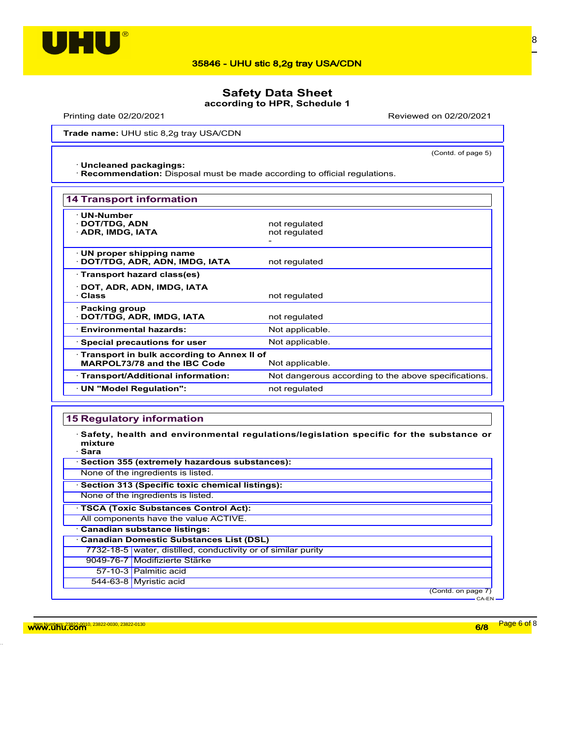

# **Safety Data Sheet**

**according to HPR, Schedule 1**

Printing date 02/20/2021 Reviewed on 02/20/2021

(Contd. of page 5)

Trade name: UHU stic 8,2g tray USA/CDN

#### · **Uncleaned packagings:**

· **Recommendation:** Disposal must be made according to official regulations.

| <b>14 Transport information</b>                                                               |                                                      |
|-----------------------------------------------------------------------------------------------|------------------------------------------------------|
| <b>UN-Number</b><br>· DOT/TDG, ADN<br>· ADR, IMDG, IATA                                       | not regulated<br>not regulated                       |
| $\cdot$ UN proper shipping name<br>DOT/TDG, ADR, ADN, IMDG, IATA                              | not regulated                                        |
| · Transport hazard class(es)                                                                  |                                                      |
| · DOT, ADR, ADN, IMDG, IATA<br>· Class                                                        | not regulated                                        |
| $\cdot$ Packing group<br>DOT/TDG, ADR, IMDG, IATA                                             | not regulated                                        |
| · Environmental hazards:                                                                      | Not applicable.                                      |
| $\cdot$ Special precautions for user                                                          | Not applicable.                                      |
| Transport in bulk according to Annex II of<br>MARPOL73/78 and the IBC Code<br>Not applicable. |                                                      |
| · Transport/Additional information:                                                           | Not dangerous according to the above specifications. |
| · UN "Model Regulation":                                                                      | not regulated                                        |

#### **15 Regulatory information**

· **Safety, health and environmental regulations/legislation specific for the substance or mixture**

· **Sara** · **Section 355 (extremely hazardous substances):** None of the ingredients is listed. · **Section 313 (Specific toxic chemical listings):** None of the ingredients is listed. · **TSCA (Toxic Substances Control Act):** All components have the value ACTIVE. · **Canadian substance listings:** · **Canadian Domestic Substances List (DSL)** 7732-18-5 water, distilled, conductivity or of similar purity 9049-76-7 Modifizierte Stärke 57-10-3 Palmitic acid 544-63-8 Myristic acid

> (Contd. on page 7) CA-EN

w<mark>ww.uhu.com 6/8 Page 6 of</mark> 8 Page 6 of 8 Page 6 of 8 Page 6 of 8 Page 6 of 8 Page 6 of 8 Page 6 of 8 Page 6 of 8 Page 6 of 8 Page 6 of 8 Page 6 of 8 Page 6 of 8 Page 6 of 8 Page 6 of 8 Page 6 of 8 Page 6 of 8 Page 6 of 8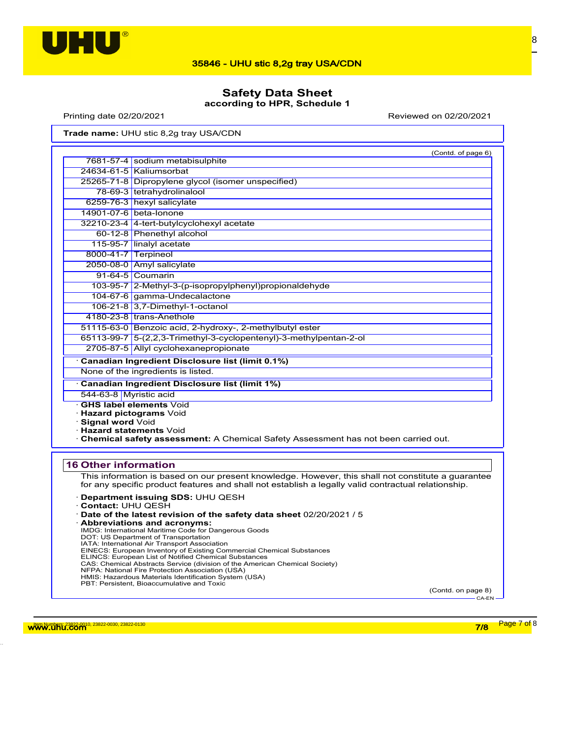

# **Safety Data Sheet**

**according to HPR, Schedule 1**

Printing date 02/20/2021 Reviewed on 02/20/2021

Trade name: UHU stic 8,2g tray USA/CDN

|                                                       | (Contd. of page 6)                                                                                                                               |  |  |
|-------------------------------------------------------|--------------------------------------------------------------------------------------------------------------------------------------------------|--|--|
|                                                       | 7681-57-4 sodium metabisulphite                                                                                                                  |  |  |
|                                                       | 24634-61-5   Kaliumsorbat                                                                                                                        |  |  |
|                                                       | 25265-71-8 Dipropylene glycol (isomer unspecified)                                                                                               |  |  |
|                                                       | 78-69-3 tetrahydrolinalool                                                                                                                       |  |  |
|                                                       | 6259-76-3 hexyl salicylate                                                                                                                       |  |  |
|                                                       | 14901-07-6 beta-lonone                                                                                                                           |  |  |
|                                                       | 32210-23-4 4-tert-butylcyclohexyl acetate                                                                                                        |  |  |
|                                                       | 60-12-8 Phenethyl alcohol                                                                                                                        |  |  |
|                                                       | 115-95-7 linalyl acetate                                                                                                                         |  |  |
| 8000-41-7 Terpineol                                   |                                                                                                                                                  |  |  |
|                                                       | 2050-08-0 Amyl salicylate                                                                                                                        |  |  |
|                                                       | 91-64-5 Coumarin                                                                                                                                 |  |  |
|                                                       | 103-95-7 2-Methyl-3-(p-isopropylphenyl) propional dehy de                                                                                        |  |  |
|                                                       | 104-67-6 gamma-Undecalactone                                                                                                                     |  |  |
|                                                       | 106-21-8 3,7-Dimethyl-1-octanol                                                                                                                  |  |  |
|                                                       | 4180-23-8 trans-Anethole                                                                                                                         |  |  |
|                                                       | 51115-63-0 Benzoic acid, 2-hydroxy-, 2-methylbutyl ester                                                                                         |  |  |
|                                                       | 65113-99-7 5-(2,2,3-Trimethyl-3-cyclopentenyl)-3-methylpentan-2-ol                                                                               |  |  |
|                                                       | 2705-87-5 Allyl cyclohexanepropionate                                                                                                            |  |  |
|                                                       | Canadian Ingredient Disclosure list (limit 0.1%)                                                                                                 |  |  |
| None of the ingredients is listed.                    |                                                                                                                                                  |  |  |
| <b>Canadian Ingredient Disclosure list (limit 1%)</b> |                                                                                                                                                  |  |  |
| 544-63-8 Myristic acid                                |                                                                                                                                                  |  |  |
| Signal word Void<br><b>Hazard statements Void</b>     | <b>GHS label elements Void</b><br>Hazard pictograms Void<br>. Chemical safety assessment: A Chemical Safety Assessment has not been carried out. |  |  |

### **16 Other information**

This information is based on our present knowledge. However, this shall not constitute a guarantee for any specific product features and shall not establish a legally valid contractual relationship.

- · **Department issuing SDS:** UHU QESH
- · **Contact:** UHU QESH
- · **Date of the latest revision of the safety data sheet** 02/20/2021 / 5
- · **Abbreviations and acronyms:** IMDG: International Maritime Code for Dangerous Goods DOT: US Department of Transportation IATA: International Air Transport Association EINECS: European Inventory of Existing Commercial Chemical Substances<br>ELINCS: European List of Notified Chemical Substances<br>CAS: Chemical Abstracts Service (division of the American Chemical Society)<br>NFPA: National Fire Pr HMIS: Hazardous Materials Identification System (USA) PBT: Persistent, Bioaccumulative and Toxic

(Contd. on page 8)  $CA-EN$ 

w<mark>ww.uhu.com 7/8 Page 7 of</mark> 8 مستقبل المستقبل المستقبل المستقبل المستقبل المستقبل المستقبل المستقبل المستقبل المستقبل المستقبل المستقبل المستقبل المستقبل المستقبل المستقبل المستقبل المستقبل المستقبل المستقبل المستقبل المست